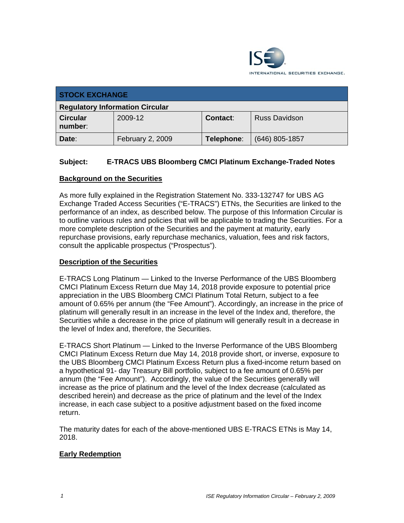

| <b>STOCK EXCHANGE</b>                  |                  |            |                      |  |
|----------------------------------------|------------------|------------|----------------------|--|
| <b>Regulatory Information Circular</b> |                  |            |                      |  |
| <b>Circular</b><br>number:             | 2009-12          | Contact:   | <b>Russ Davidson</b> |  |
| Date:                                  | February 2, 2009 | Telephone: | $(646)$ 805-1857     |  |

## **Subject: E-TRACS UBS Bloomberg CMCI Platinum Exchange-Traded Notes**

## **Background on the Securities**

As more fully explained in the Registration Statement No. 333-132747 for UBS AG Exchange Traded Access Securities ("E-TRACS") ETNs, the Securities are linked to the performance of an index, as described below. The purpose of this Information Circular is to outline various rules and policies that will be applicable to trading the Securities. For a more complete description of the Securities and the payment at maturity, early repurchase provisions, early repurchase mechanics, valuation, fees and risk factors, consult the applicable prospectus ("Prospectus").

#### **Description of the Securities**

E-TRACS Long Platinum — Linked to the Inverse Performance of the UBS Bloomberg CMCI Platinum Excess Return due May 14, 2018 provide exposure to potential price appreciation in the UBS Bloomberg CMCI Platinum Total Return, subject to a fee amount of 0.65% per annum (the "Fee Amount"). Accordingly, an increase in the price of platinum will generally result in an increase in the level of the Index and, therefore, the Securities while a decrease in the price of platinum will generally result in a decrease in the level of Index and, therefore, the Securities.

E-TRACS Short Platinum — Linked to the Inverse Performance of the UBS Bloomberg CMCI Platinum Excess Return due May 14, 2018 provide short, or inverse, exposure to the UBS Bloomberg CMCI Platinum Excess Return plus a fixed-income return based on a hypothetical 91- day Treasury Bill portfolio, subject to a fee amount of 0.65% per annum (the "Fee Amount"). Accordingly, the value of the Securities generally will increase as the price of platinum and the level of the Index decrease (calculated as described herein) and decrease as the price of platinum and the level of the Index increase, in each case subject to a positive adjustment based on the fixed income return.

The maturity dates for each of the above-mentioned UBS E-TRACS ETNs is May 14, 2018.

## **Early Redemption**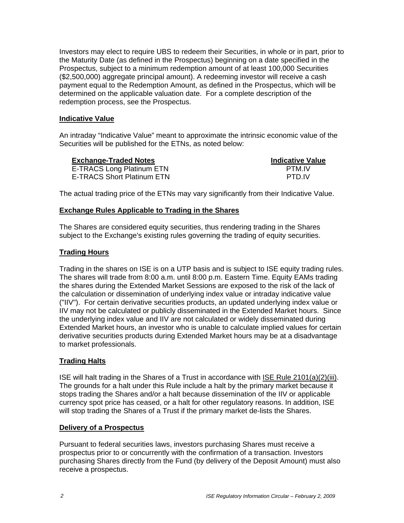Investors may elect to require UBS to redeem their Securities, in whole or in part, prior to the Maturity Date (as defined in the Prospectus) beginning on a date specified in the Prospectus, subject to a minimum redemption amount of at least 100,000 Securities (\$2,500,000) aggregate principal amount). A redeeming investor will receive a cash payment equal to the Redemption Amount, as defined in the Prospectus, which will be determined on the applicable valuation date. For a complete description of the redemption process, see the Prospectus.

## **Indicative Value**

An intraday "Indicative Value" meant to approximate the intrinsic economic value of the Securities will be published for the ETNs, as noted below:

| <b>Exchange-Traded Notes</b>      | <b>Indicative Value</b> |
|-----------------------------------|-------------------------|
| <b>E-TRACS Long Platinum ETN</b>  | <b>PTM IV</b>           |
| <b>E-TRACS Short Platinum ETN</b> | PTD IV                  |

The actual trading price of the ETNs may vary significantly from their Indicative Value.

#### **Exchange Rules Applicable to Trading in the Shares**

The Shares are considered equity securities, thus rendering trading in the Shares subject to the Exchange's existing rules governing the trading of equity securities.

## **Trading Hours**

Trading in the shares on ISE is on a UTP basis and is subject to ISE equity trading rules. The shares will trade from 8:00 a.m. until 8:00 p.m. Eastern Time. Equity EAMs trading the shares during the Extended Market Sessions are exposed to the risk of the lack of the calculation or dissemination of underlying index value or intraday indicative value ("IIV"). For certain derivative securities products, an updated underlying index value or IIV may not be calculated or publicly disseminated in the Extended Market hours. Since the underlying index value and IIV are not calculated or widely disseminated during Extended Market hours, an investor who is unable to calculate implied values for certain derivative securities products during Extended Market hours may be at a disadvantage to market professionals.

## **Trading Halts**

ISE will halt trading in the Shares of a Trust in accordance with ISE Rule 2101(a)(2)(iii). The grounds for a halt under this Rule include a halt by the primary market because it stops trading the Shares and/or a halt because dissemination of the IIV or applicable currency spot price has ceased, or a halt for other regulatory reasons. In addition, ISE will stop trading the Shares of a Trust if the primary market de-lists the Shares.

#### **Delivery of a Prospectus**

Pursuant to federal securities laws, investors purchasing Shares must receive a prospectus prior to or concurrently with the confirmation of a transaction. Investors purchasing Shares directly from the Fund (by delivery of the Deposit Amount) must also receive a prospectus.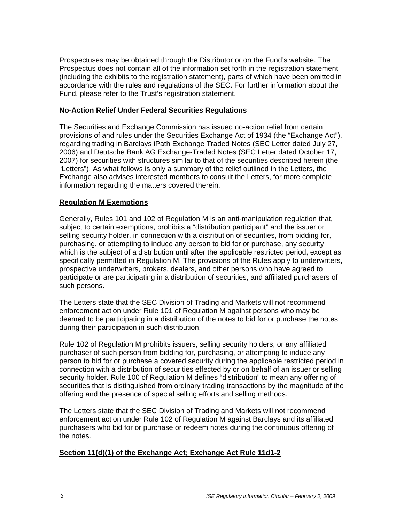Prospectuses may be obtained through the Distributor or on the Fund's website. The Prospectus does not contain all of the information set forth in the registration statement (including the exhibits to the registration statement), parts of which have been omitted in accordance with the rules and regulations of the SEC. For further information about the Fund, please refer to the Trust's registration statement.

#### **No-Action Relief Under Federal Securities Regulations**

The Securities and Exchange Commission has issued no-action relief from certain provisions of and rules under the Securities Exchange Act of 1934 (the "Exchange Act"), regarding trading in Barclays iPath Exchange Traded Notes (SEC Letter dated July 27, 2006) and Deutsche Bank AG Exchange-Traded Notes (SEC Letter dated October 17, 2007) for securities with structures similar to that of the securities described herein (the "Letters"). As what follows is only a summary of the relief outlined in the Letters, the Exchange also advises interested members to consult the Letters, for more complete information regarding the matters covered therein.

## **Regulation M Exemptions**

Generally, Rules 101 and 102 of Regulation M is an anti-manipulation regulation that, subject to certain exemptions, prohibits a "distribution participant" and the issuer or selling security holder, in connection with a distribution of securities, from bidding for, purchasing, or attempting to induce any person to bid for or purchase, any security which is the subject of a distribution until after the applicable restricted period, except as specifically permitted in Regulation M. The provisions of the Rules apply to underwriters, prospective underwriters, brokers, dealers, and other persons who have agreed to participate or are participating in a distribution of securities, and affiliated purchasers of such persons.

The Letters state that the SEC Division of Trading and Markets will not recommend enforcement action under Rule 101 of Regulation M against persons who may be deemed to be participating in a distribution of the notes to bid for or purchase the notes during their participation in such distribution.

Rule 102 of Regulation M prohibits issuers, selling security holders, or any affiliated purchaser of such person from bidding for, purchasing, or attempting to induce any person to bid for or purchase a covered security during the applicable restricted period in connection with a distribution of securities effected by or on behalf of an issuer or selling security holder. Rule 100 of Regulation M defines "distribution" to mean any offering of securities that is distinguished from ordinary trading transactions by the magnitude of the offering and the presence of special selling efforts and selling methods.

The Letters state that the SEC Division of Trading and Markets will not recommend enforcement action under Rule 102 of Regulation M against Barclays and its affiliated purchasers who bid for or purchase or redeem notes during the continuous offering of the notes.

## **Section 11(d)(1) of the Exchange Act; Exchange Act Rule 11d1-2**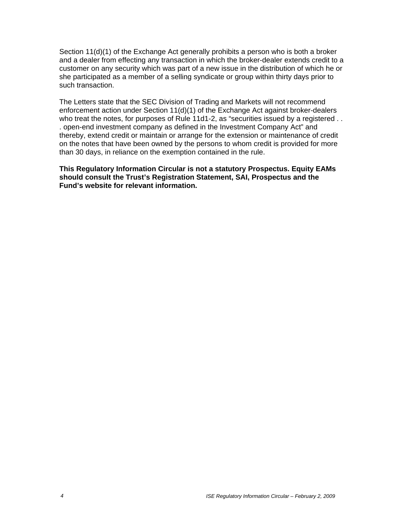Section 11(d)(1) of the Exchange Act generally prohibits a person who is both a broker and a dealer from effecting any transaction in which the broker-dealer extends credit to a customer on any security which was part of a new issue in the distribution of which he or she participated as a member of a selling syndicate or group within thirty days prior to such transaction.

The Letters state that the SEC Division of Trading and Markets will not recommend enforcement action under Section 11(d)(1) of the Exchange Act against broker-dealers who treat the notes, for purposes of Rule 11d1-2, as "securities issued by a registered . . . open-end investment company as defined in the Investment Company Act" and thereby, extend credit or maintain or arrange for the extension or maintenance of credit on the notes that have been owned by the persons to whom credit is provided for more than 30 days, in reliance on the exemption contained in the rule.

**This Regulatory Information Circular is not a statutory Prospectus. Equity EAMs should consult the Trust's Registration Statement, SAI, Prospectus and the Fund's website for relevant information.**